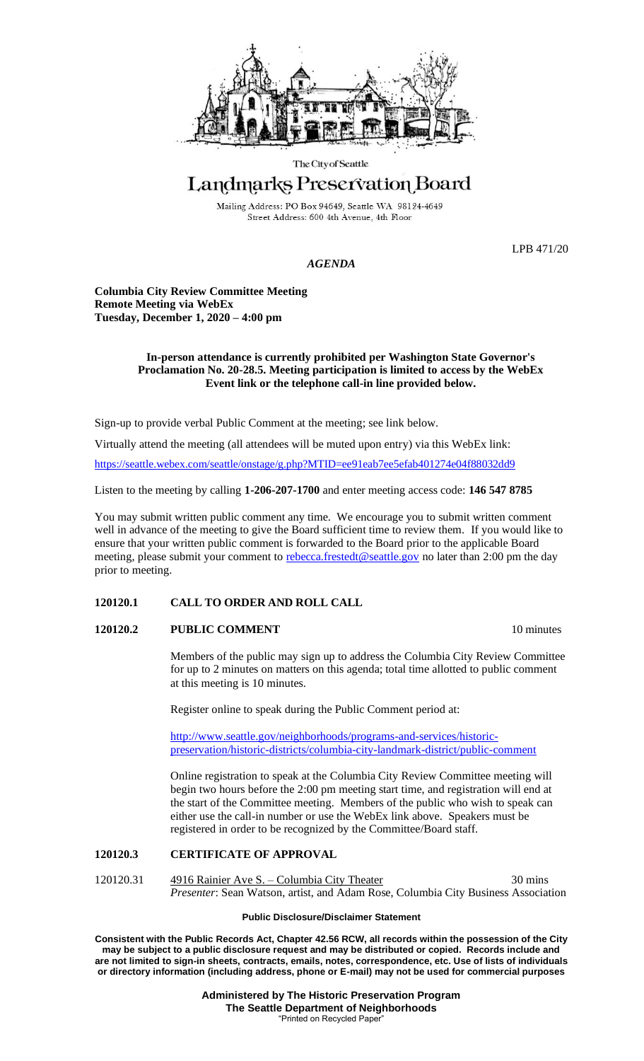

#### The City of Seattle

# Landmarks Preservation Board

Mailing Address: PO Box 94649, Seattle WA 98124-4649 Street Address: 600 4th Avenue, 4th Floor

LPB 471/20

## *AGENDA*

**Columbia City Review Committee Meeting Remote Meeting via WebEx Tuesday, December 1, 2020 – 4:00 pm**

## **In-person attendance is currently prohibited per Washington State Governor's Proclamation No. 20-28.5. Meeting participation is limited to access by the WebEx Event link or the telephone call-in line provided below.**

Sign-up to provide verbal Public Comment at the meeting; see link below.

Virtually attend the meeting (all attendees will be muted upon entry) via this WebEx link: <https://seattle.webex.com/seattle/onstage/g.php?MTID=ee91eab7ee5efab401274e04f88032dd9>

Listen to the meeting by calling **1-206-207-1700** and enter meeting access code: **146 547 8785**

You may submit written public comment any time. We encourage you to submit written comment well in advance of the meeting to give the Board sufficient time to review them. If you would like to ensure that your written public comment is forwarded to the Board prior to the applicable Board meeting, please submit your comment to [rebecca.frestedt@seattle.gov](mailto:rebecca.frestedt@seattle.gov) no later than 2:00 pm the day prior to meeting.

## **120120.1 CALL TO ORDER AND ROLL CALL**

## **120120.2 PUBLIC COMMENT** 10 minutes

Members of the public may sign up to address the Columbia City Review Committee for up to 2 minutes on matters on this agenda; total time allotted to public comment at this meeting is 10 minutes.

Register online to speak during the Public Comment period at:

[http://www.seattle.gov/neighborhoods/programs-and-services/historic](http://www.seattle.gov/neighborhoods/programs-and-services/historic-preservation/historic-districts/columbia-city-landmark-district/public-comment)[preservation/historic-districts/columbia-city-landmark-district/public-comment](http://www.seattle.gov/neighborhoods/programs-and-services/historic-preservation/historic-districts/columbia-city-landmark-district/public-comment)

Online registration to speak at the Columbia City Review Committee meeting will begin two hours before the 2:00 pm meeting start time, and registration will end at the start of the Committee meeting. Members of the public who wish to speak can either use the call-in number or use the WebEx link above. Speakers must be registered in order to be recognized by the Committee/Board staff.

## **120120.3 CERTIFICATE OF APPROVAL**

120120.31 4916 Rainier Ave S. – Columbia City Theater 30 mins *Presenter*: Sean Watson, artist, and Adam Rose, Columbia City Business Association

## **Public Disclosure/Disclaimer Statement**

**Consistent with the Public Records Act, Chapter 42.56 RCW, all records within the possession of the City may be subject to a public disclosure request and may be distributed or copied. Records include and are not limited to sign-in sheets, contracts, emails, notes, correspondence, etc. Use of lists of individuals or directory information (including address, phone or E-mail) may not be used for commercial purposes**

> **Administered by The Historic Preservation Program The Seattle Department of Neighborhoods** "Printed on Recycled Paper"